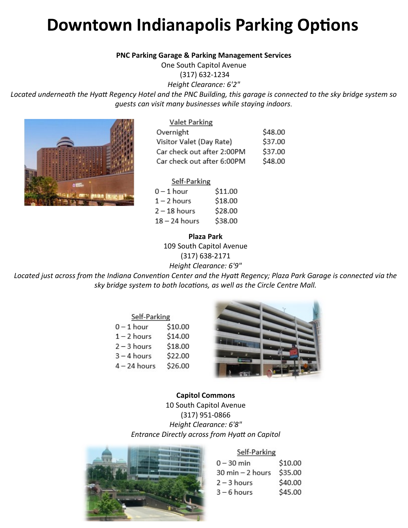# **Downtown Indianapolis Parking Options**

#### **PNC Parking Garage & Parking Management Services**

One South Capitol Avenue

(317) 632-1234 *Height Clearance: 6'2"*

*Located underneath the Hyatt Regency Hotel and the PNC Building, this garage is connected to the sky bridge system so guests can visit many businesses while staying indoors.*



#### Valet Parking

| Overnight                  | \$48.00 |
|----------------------------|---------|
| Visitor Valet (Day Rate)   | \$37.00 |
| Car check out after 2:00PM | \$37.00 |
| Car check out after 6:00PM | \$48.00 |

#### Self-Parking

| $0 - 1$ hour    | \$11.00 |
|-----------------|---------|
| $1 - 2$ hours   | \$18.00 |
| $2 - 18$ hours  | \$28.00 |
| $18 - 24$ hours | \$38.00 |

#### **Plaza Park**

109 South Capitol Avenue (317) 638-2171

*Height Clearance: 6'9"*

*Located just across from the Indiana Convention Center and the Hyatt Regency; Plaza Park Garage is connected via the sky bridge system to both locations, as well as the Circle Centre Mall.*

| Self-Parking   |         |  |
|----------------|---------|--|
| $0 - 1$ hour   | \$10.00 |  |
| $1 - 2$ hours  | \$14.00 |  |
| $2 - 3$ hours  | \$18.00 |  |
| $3 - 4$ hours  | \$22.00 |  |
| $4 - 24$ hours | \$26.00 |  |



## **Capitol Commons**

10 South Capitol Avenue (317) 951-0866 *Height Clearance: 6'8" Entrance Directly across from Hyatt on Capitol*



#### Self-Parking

| $0 - 30$ min     | \$10.00 |
|------------------|---------|
| 30 min - 2 hours | \$35.00 |
| $2 - 3$ hours    | \$40.00 |
| $3 - 6$ hours    | \$45.00 |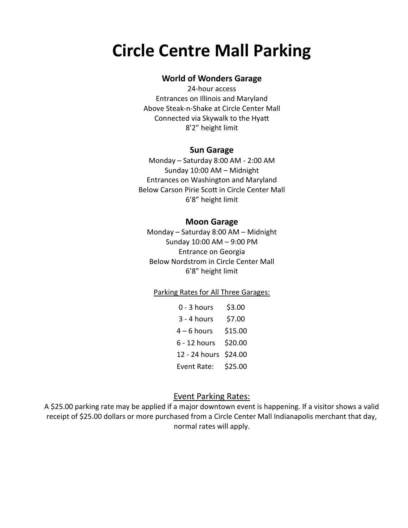## **Circle Centre Mall Parking**

### **World of Wonders Garage**

24-hour access Entrances on Illinois and Maryland Above Steak-n-Shake at Circle Center Mall Connected via Skywalk to the Hyatt 8'2" height limit

#### **Sun Garage**

Monday – Saturday 8:00 AM - 2:00 AM Sunday 10:00 AM – Midnight Entrances on Washington and Maryland Below Carson Pirie Scott in Circle Center Mall 6'8" height limit

#### **Moon Garage**

Monday – Saturday 8:00 AM – Midnight Sunday 10:00 AM – 9:00 PM Entrance on Georgia Below Nordstrom in Circle Center Mall 6'8" height limit

#### Parking Rates for All Three Garages:

| $0 - 3$ hours | \$3.00  |
|---------------|---------|
| $3 - 4$ hours | \$7.00  |
| $4 - 6$ hours | \$15.00 |
| 6 - 12 hours  | \$20.00 |
| 12 - 24 hours | \$24.00 |
| Event Rate:   | \$25.00 |

### Event Parking Rates:

A \$25.00 parking rate may be applied if a major downtown event is happening. If a visitor shows a valid receipt of \$25.00 dollars or more purchased from a Circle Center Mall Indianapolis merchant that day, normal rates will apply.